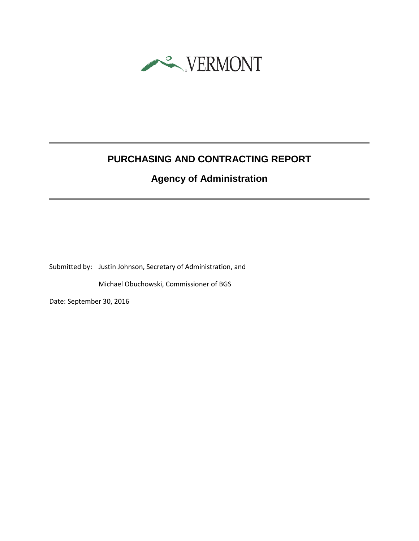

# **PURCHASING AND CONTRACTING REPORT**

# **Agency of Administration**

Submitted by: Justin Johnson, Secretary of Administration, and

Michael Obuchowski, Commissioner of BGS

Date: September 30, 2016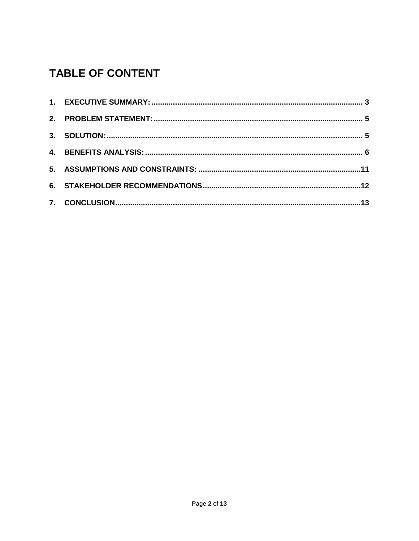# **TABLE OF CONTENT**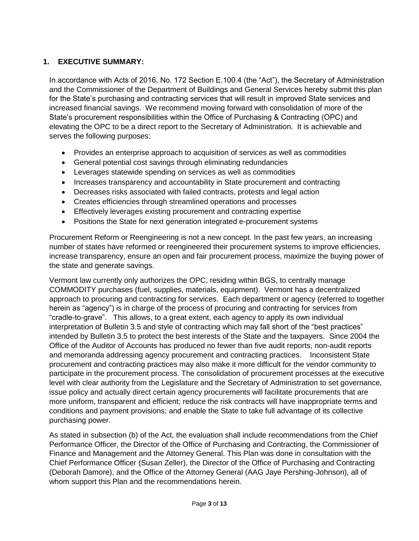#### <span id="page-2-0"></span>**1. EXECUTIVE SUMMARY:**

In accordance with Acts of 2016, No. 172 Section E.100.4 (the "Act"), the Secretary of Administration and the Commissioner of the Department of Buildings and General Services hereby submit this plan for the State's purchasing and contracting services that will result in improved State services and increased financial savings. We recommend moving forward with consolidation of more of the State's procurement responsibilities within the Office of Purchasing & Contracting (OPC) and elevating the OPC to be a direct report to the Secretary of Administration. It is achievable and serves the following purposes:

- Provides an enterprise approach to acquisition of services as well as commodities
- General potential cost savings through eliminating redundancies
- Leverages statewide spending on services as well as commodities
- Increases transparency and accountability in State procurement and contracting
- Decreases risks associated with failed contracts, protests and legal action
- Creates efficiencies through streamlined operations and processes
- Effectively leverages existing procurement and contracting expertise
- Positions the State for next generation integrated e-procurement systems

Procurement Reform or Reengineering is not a new concept. In the past few years, an increasing number of states have reformed or reengineered their procurement systems to improve efficiencies, increase transparency, ensure an open and fair procurement process, maximize the buying power of the state and generate savings.

Vermont law currently only authorizes the OPC, residing within BGS, to centrally manage COMMODITY purchases (fuel, supplies, materials, equipment). Vermont has a decentralized approach to procuring and contracting for services. Each department or agency (referred to together herein as "agency") is in charge of the process of procuring and contracting for services from "cradle-to-grave". This allows, to a great extent, each agency to apply its own individual interpretation of Bulletin 3.5 and style of contracting which may fall short of the "best practices" intended by Bulletin 3.5 to protect the best interests of the State and the taxpayers. Since 2004 the Office of the Auditor of Accounts has produced no fewer than five audit reports, non-audit reports and memoranda addressing agency procurement and contracting practices. Inconsistent State procurement and contracting practices may also make it more difficult for the vendor community to participate in the procurement process. The consolidation of procurement processes at the executive level with clear authority from the Legislature and the Secretary of Administration to set governance, issue policy and actually direct certain agency procurements will facilitate procurements that are more uniform, transparent and efficient; reduce the risk contracts will have inappropriate terms and conditions and payment provisions; and enable the State to take full advantage of its collective purchasing power.

As stated in subsection (b) of the Act, the evaluation shall include recommendations from the Chief Performance Officer, the Director of the Office of Purchasing and Contracting, the Commissioner of Finance and Management and the Attorney General. This Plan was done in consultation with the Chief Performance Officer (Susan Zeller), the Director of the Office of Purchasing and Contracting (Deborah Damore), and the Office of the Attorney General (AAG Jaye Pershing-Johnson), all of whom support this Plan and the recommendations herein.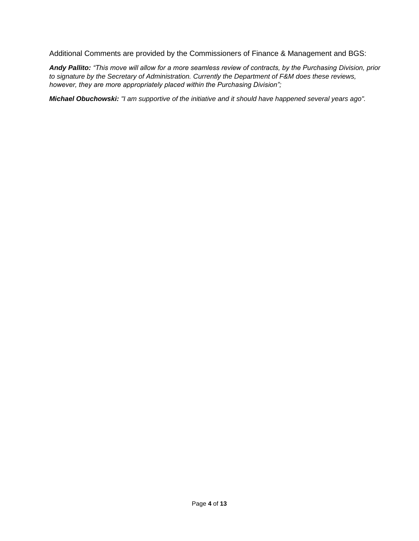Additional Comments are provided by the Commissioners of Finance & Management and BGS:

*Andy Pallito: "This move will allow for a more seamless review of contracts, by the Purchasing Division, prior to signature by the Secretary of Administration. Currently the Department of F&M does these reviews, however, they are more appropriately placed within the Purchasing Division";*

*Michael Obuchowski: "I am supportive of the initiative and it should have happened several years ago".*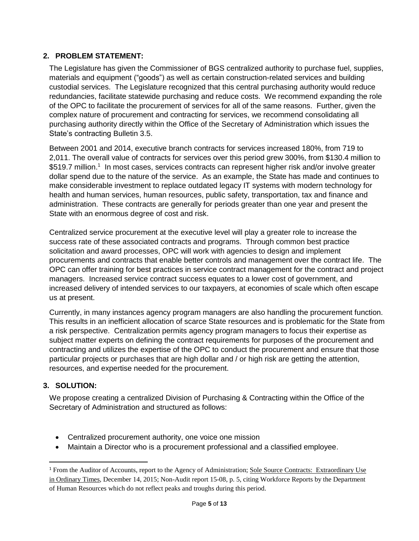# <span id="page-4-0"></span>**2. PROBLEM STATEMENT:**

The Legislature has given the Commissioner of BGS centralized authority to purchase fuel, supplies, materials and equipment ("goods") as well as certain construction-related services and building custodial services. The Legislature recognized that this central purchasing authority would reduce redundancies, facilitate statewide purchasing and reduce costs. We recommend expanding the role of the OPC to facilitate the procurement of services for all of the same reasons. Further, given the complex nature of procurement and contracting for services, we recommend consolidating all purchasing authority directly within the Office of the Secretary of Administration which issues the State's contracting Bulletin 3.5.

Between 2001 and 2014, executive branch contracts for services increased 180%, from 719 to 2,011. The overall value of contracts for services over this period grew 300%, from \$130.4 million to \$519.7 million.<sup>1</sup> In most cases, services contracts can represent higher risk and/or involve greater dollar spend due to the nature of the service. As an example, the State has made and continues to make considerable investment to replace outdated legacy IT systems with modern technology for health and human services, human resources, public safety, transportation, tax and finance and administration. These contracts are generally for periods greater than one year and present the State with an enormous degree of cost and risk.

Centralized service procurement at the executive level will play a greater role to increase the success rate of these associated contracts and programs. Through common best practice solicitation and award processes, OPC will work with agencies to design and implement procurements and contracts that enable better controls and management over the contract life. The OPC can offer training for best practices in service contract management for the contract and project managers. Increased service contract success equates to a lower cost of government, and increased delivery of intended services to our taxpayers, at economies of scale which often escape us at present.

Currently, in many instances agency program managers are also handling the procurement function. This results in an inefficient allocation of scarce State resources and is problematic for the State from a risk perspective. Centralization permits agency program managers to focus their expertise as subject matter experts on defining the contract requirements for purposes of the procurement and contracting and utilizes the expertise of the OPC to conduct the procurement and ensure that those particular projects or purchases that are high dollar and / or high risk are getting the attention, resources, and expertise needed for the procurement.

#### <span id="page-4-1"></span>**3. SOLUTION:**

 $\overline{\phantom{a}}$ 

We propose creating a centralized Division of Purchasing & Contracting within the Office of the Secretary of Administration and structured as follows:

- Centralized procurement authority, one voice one mission
- Maintain a Director who is a procurement professional and a classified employee.

<sup>&</sup>lt;sup>1</sup> From the Auditor of Accounts, report to the Agency of Administration; Sole Source Contracts: Extraordinary Use in Ordinary Times, December 14, 2015; Non-Audit report 15-08, p. 5, citing Workforce Reports by the Department of Human Resources which do not reflect peaks and troughs during this period.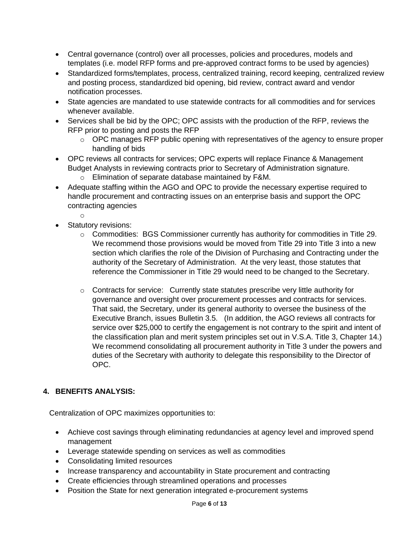- Central governance (control) over all processes, policies and procedures, models and templates (i.e. model RFP forms and pre-approved contract forms to be used by agencies)
- Standardized forms/templates, process, centralized training, record keeping, centralized review and posting process, standardized bid opening, bid review, contract award and vendor notification processes.
- State agencies are mandated to use statewide contracts for all commodities and for services whenever available.
- Services shall be bid by the OPC; OPC assists with the production of the RFP, reviews the RFP prior to posting and posts the RFP
	- o OPC manages RFP public opening with representatives of the agency to ensure proper handling of bids
- OPC reviews all contracts for services; OPC experts will replace Finance & Management Budget Analysts in reviewing contracts prior to Secretary of Administration signature.
	- o Elimination of separate database maintained by F&M.
- Adequate staffing within the AGO and OPC to provide the necessary expertise required to handle procurement and contracting issues on an enterprise basis and support the OPC contracting agencies
	- o
- Statutory revisions:
	- $\circ$  Commodities: BGS Commissioner currently has authority for commodities in Title 29. We recommend those provisions would be moved from Title 29 into Title 3 into a new section which clarifies the role of the Division of Purchasing and Contracting under the authority of the Secretary of Administration. At the very least, those statutes that reference the Commissioner in Title 29 would need to be changed to the Secretary.
	- $\circ$  Contracts for service: Currently state statutes prescribe very little authority for governance and oversight over procurement processes and contracts for services. That said, the Secretary, under its general authority to oversee the business of the Executive Branch, issues Bulletin 3.5. (In addition, the AGO reviews all contracts for service over \$25,000 to certify the engagement is not contrary to the spirit and intent of the classification plan and merit system principles set out in V.S.A. Title 3, Chapter 14.) We recommend consolidating all procurement authority in Title 3 under the powers and duties of the Secretary with authority to delegate this responsibility to the Director of OPC.

#### <span id="page-5-0"></span>**4. BENEFITS ANALYSIS:**

Centralization of OPC maximizes opportunities to:

- Achieve cost savings through eliminating redundancies at agency level and improved spend management
- Leverage statewide spending on services as well as commodities
- Consolidating limited resources
- Increase transparency and accountability in State procurement and contracting
- Create efficiencies through streamlined operations and processes
- Position the State for next generation integrated e-procurement systems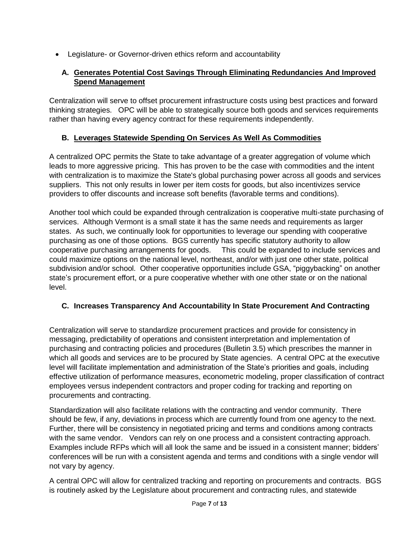Legislature- or Governor-driven ethics reform and accountability

# **A. Generates Potential Cost Savings Through Eliminating Redundancies And Improved Spend Management**

Centralization will serve to offset procurement infrastructure costs using best practices and forward thinking strategies. OPC will be able to strategically source both goods and services requirements rather than having every agency contract for these requirements independently.

# **B. Leverages Statewide Spending On Services As Well As Commodities**

A centralized OPC permits the State to take advantage of a greater aggregation of volume which leads to more aggressive pricing. This has proven to be the case with commodities and the intent with centralization is to maximize the State's global purchasing power across all goods and services suppliers. This not only results in lower per item costs for goods, but also incentivizes service providers to offer discounts and increase soft benefits (favorable terms and conditions).

Another tool which could be expanded through centralization is cooperative multi-state purchasing of services. Although Vermont is a small state it has the same needs and requirements as larger states. As such, we continually look for opportunities to leverage our spending with cooperative purchasing as one of those options. BGS currently has specific statutory authority to allow cooperative purchasing arrangements for goods. This could be expanded to include services and could maximize options on the national level, northeast, and/or with just one other state, political subdivision and/or school. Other cooperative opportunities include GSA, "piggybacking" on another state's procurement effort, or a pure cooperative whether with one other state or on the national level.

# **C. Increases Transparency And Accountability In State Procurement And Contracting**

Centralization will serve to standardize procurement practices and provide for consistency in messaging, predictability of operations and consistent interpretation and implementation of purchasing and contracting policies and procedures (Bulletin 3.5) which prescribes the manner in which all goods and services are to be procured by State agencies. A central OPC at the executive level will facilitate implementation and administration of the State's priorities and goals, including effective utilization of performance measures, econometric modeling, proper classification of contract employees versus independent contractors and proper coding for tracking and reporting on procurements and contracting.

Standardization will also facilitate relations with the contracting and vendor community. There should be few, if any, deviations in process which are currently found from one agency to the next. Further, there will be consistency in negotiated pricing and terms and conditions among contracts with the same vendor. Vendors can rely on one process and a consistent contracting approach. Examples include RFPs which will all look the same and be issued in a consistent manner; bidders' conferences will be run with a consistent agenda and terms and conditions with a single vendor will not vary by agency.

A central OPC will allow for centralized tracking and reporting on procurements and contracts. BGS is routinely asked by the Legislature about procurement and contracting rules, and statewide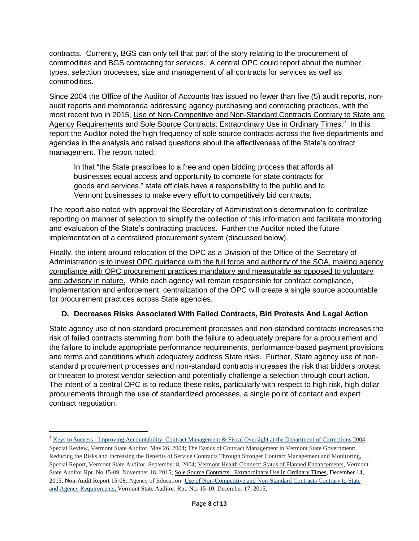contracts. Currently, BGS can only tell that part of the story relating to the procurement of commodities and BGS contracting for services. A central OPC could report about the number, types, selection processes, size and management of all contracts for services as well as commodities.

Since 2004 the Office of the Auditor of Accounts has issued no fewer than five (5) audit reports, nonaudit reports and memoranda addressing agency purchasing and contracting practices, with the most recent two in 2015, Use of Non-Competitive and Non-Standard Contracts Contrary to State and Agency Requirements and Sole Source Contracts: Extraordinary Use in Ordinary Times.<sup>2</sup> In this report the Auditor noted the high frequency of sole source contracts across the five departments and agencies in the analysis and raised questions about the effectiveness of the State's contract management. The report noted:

In that "the State prescribes to a free and open bidding process that affords all businesses equal access and opportunity to compete for state contracts for goods and services," state officials have a responsibility to the public and to Vermont businesses to make every effort to competitively bid contracts.

The report also noted with approval the Secretary of Administration's determination to centralize reporting on manner of selection to simplify the collection of this information and facilitate monitoring and evaluation of the State's contracting practices. Further the Auditor noted the future implementation of a centralized procurement system (discussed below).

Finally, the intent around relocation of the OPC as a Division of the Office of the Secretary of Administration is to invest OPC guidance with the full force and authority of the SOA, making agency compliance with OPC procurement practices mandatory and measurable as opposed to voluntary and advisory in nature. While each agency will remain responsible for contract compliance, implementation and enforcement, centralization of the OPC will create a single source accountable for procurement practices across State agencies.

# **D. Decreases Risks Associated With Failed Contracts, Bid Protests And Legal Action**

State agency use of non-standard procurement processes and non-standard contracts increases the risk of failed contracts stemming from both the failure to adequately prepare for a procurement and the failure to include appropriate performance requirements, performance-based payment provisions and terms and conditions which adequately address State risks. Further, State agency use of nonstandard procurement processes and non-standard contracts increases the risk that bidders protest or threaten to protest vendor selection and potentially challenge a selection through court action. The intent of a central OPC is to reduce these risks, particularly with respect to high risk, high dollar procurements through the use of standardized processes, a single point of contact and expert contract negotiation.

 $\overline{a}$ 

<sup>&</sup>lt;sup>2</sup> Keys to Success - [Improving Accountability, Contract Management & Fiscal Oversight at the Department of Corrections](http://auditor.vermont.gov/sites/auditor/files/Keys%20to%20Success.pdf) 2004,

Special Review, Vermont State Auditor, May 26, 2004; The Basics of Contract Management in Vermont State Government: Reducing the Risks and Increasing the Benefits of Service Contracts Through Stronger Contract Management and Monitoring, Special Report, Vermont State Auditor, September 8, 2004; Vermont Health Connect: Status of Planned Enhancements, Vermont State Auditor Rpt. No 15-09, November 18, 2015; Sole Source Contracts: Extraordinary Use in Ordinary Times, December 14, 2015, Non-Audit Report 15-08; Agency of Education: [Use of Non-Competitive and Non-Standard Contracts Contrary to State](http://auditor.vermont.gov/sites/auditor/files/Agency%20of%20Education%20Audit%20Report%2012.17.15.pdf)  [and Agency Requirements,](http://auditor.vermont.gov/sites/auditor/files/Agency%20of%20Education%20Audit%20Report%2012.17.15.pdf) Vermont State Auditor, Rpt. No. 15-10, December 17, 2015.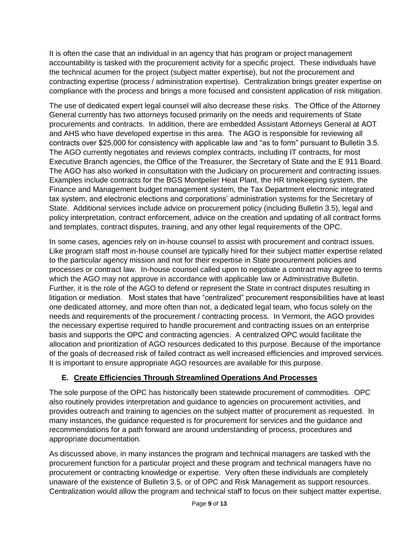It is often the case that an individual in an agency that has program or project management accountability is tasked with the procurement activity for a specific project. These individuals have the technical acumen for the project (subject matter expertise), but not the procurement and contracting expertise (process / administration expertise). Centralization brings greater expertise on compliance with the process and brings a more focused and consistent application of risk mitigation.

The use of dedicated expert legal counsel will also decrease these risks. The Office of the Attorney General currently has two attorneys focused primarily on the needs and requirements of State procurements and contracts. In addition, there are embedded Assistant Attorneys General at AOT and AHS who have developed expertise in this area. The AGO is responsible for reviewing all contracts over \$25,000 for consistency with applicable law and "as to form" pursuant to Bulletin 3.5. The AGO currently negotiates and reviews complex contracts, including IT contracts, for most Executive Branch agencies, the Office of the Treasurer, the Secretary of State and the E 911 Board. The AGO has also worked in consultation with the Judiciary on procurement and contracting issues. Examples include contracts for the BGS Montpelier Heat Plant, the HR timekeeping system, the Finance and Management budget management system, the Tax Department electronic integrated tax system, and electronic elections and corporations' administration systems for the Secretary of State. Additional services include advice on procurement policy (including Bulletin 3.5), legal and policy interpretation, contract enforcement, advice on the creation and updating of all contract forms and templates, contract disputes, training, and any other legal requirements of the OPC.

In some cases, agencies rely on in-house counsel to assist with procurement and contract issues. Like program staff most in-house counsel are typically hired for their subject matter expertise related to the particular agency mission and not for their expertise in State procurement policies and processes or contract law. In-house counsel called upon to negotiate a contract may agree to terms which the AGO may not approve in accordance with applicable law or Administrative Bulletin. Further, it is the role of the AGO to defend or represent the State in contract disputes resulting in litigation or mediation. Most states that have "centralized" procurement responsibilities have at least one dedicated attorney, and more often than not, a dedicated legal team, who focus solely on the needs and requirements of the procurement / contracting process. In Vermont, the AGO provides the necessary expertise required to handle procurement and contracting issues on an enterprise basis and supports the OPC and contracting agencies. A centralized OPC would facilitate the allocation and prioritization of AGO resources dedicated to this purpose. Because of the importance of the goals of decreased risk of failed contract as well increased efficiencies and improved services. It is important to ensure appropriate AGO resources are available for this purpose.

# **E. Create Efficiencies Through Streamlined Operations And Processes**

The sole purpose of the OPC has historically been statewide procurement of commodities. OPC also routinely provides interpretation and guidance to agencies on procurement activities, and provides outreach and training to agencies on the subject matter of procurement as requested. In many instances, the guidance requested is for procurement for services and the guidance and recommendations for a path forward are around understanding of process, procedures and appropriate documentation.

As discussed above, in many instances the program and technical managers are tasked with the procurement function for a particular project and these program and technical managers have no procurement or contracting knowledge or expertise. Very often these individuals are completely unaware of the existence of Bulletin 3.5, or of OPC and Risk Management as support resources. Centralization would allow the program and technical staff to focus on their subject matter expertise,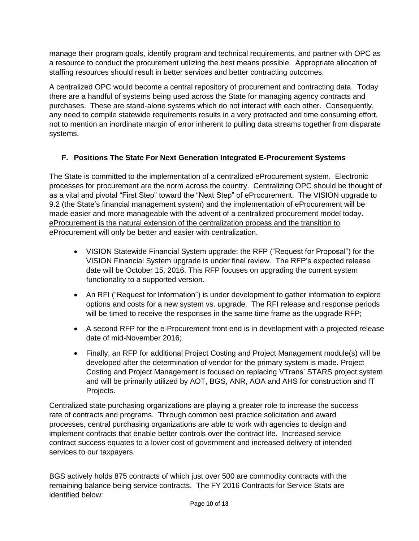manage their program goals, identify program and technical requirements, and partner with OPC as a resource to conduct the procurement utilizing the best means possible. Appropriate allocation of staffing resources should result in better services and better contracting outcomes.

A centralized OPC would become a central repository of procurement and contracting data. Today there are a handful of systems being used across the State for managing agency contracts and purchases. These are stand-alone systems which do not interact with each other. Consequently, any need to compile statewide requirements results in a very protracted and time consuming effort, not to mention an inordinate margin of error inherent to pulling data streams together from disparate systems.

# **F. Positions The State For Next Generation Integrated E-Procurement Systems**

The State is committed to the implementation of a centralized eProcurement system. Electronic processes for procurement are the norm across the country. Centralizing OPC should be thought of as a vital and pivotal "First Step" toward the "Next Step" of eProcurement. The VISION upgrade to 9.2 (the State's financial management system) and the implementation of eProcurement will be made easier and more manageable with the advent of a centralized procurement model today. eProcurement is the natural extension of the centralization process and the transition to eProcurement will only be better and easier with centralization.

- VISION Statewide Financial System upgrade: the RFP ("Request for Proposal") for the VISION Financial System upgrade is under final review. The RFP's expected release date will be October 15, 2016. This RFP focuses on upgrading the current system functionality to a supported version.
- An RFI ("Request for Information") is under development to gather information to explore options and costs for a new system vs. upgrade. The RFI release and response periods will be timed to receive the responses in the same time frame as the upgrade RFP;
- A second RFP for the e-Procurement front end is in development with a projected release date of mid-November 2016;
- Finally, an RFP for additional Project Costing and Project Management module(s) will be developed after the determination of vendor for the primary system is made. Project Costing and Project Management is focused on replacing VTrans' STARS project system and will be primarily utilized by AOT, BGS, ANR, AOA and AHS for construction and IT Projects.

Centralized state purchasing organizations are playing a greater role to increase the success rate of contracts and programs. Through common best practice solicitation and award processes, central purchasing organizations are able to work with agencies to design and implement contracts that enable better controls over the contract life. Increased service contract success equates to a lower cost of government and increased delivery of intended services to our taxpayers.

BGS actively holds 875 contracts of which just over 500 are commodity contracts with the remaining balance being service contracts. The FY 2016 Contracts for Service Stats are identified below: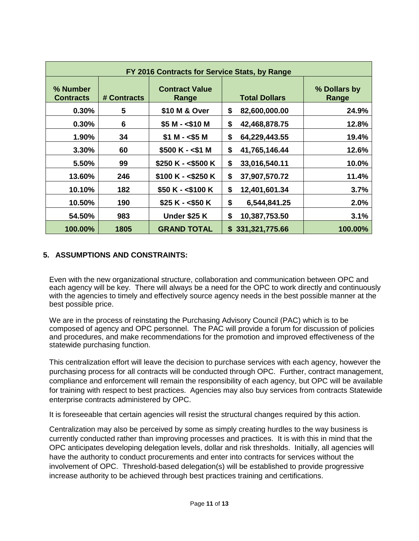| FY 2016 Contracts for Service Stats, by Range |             |                                |                      |                       |  |  |
|-----------------------------------------------|-------------|--------------------------------|----------------------|-----------------------|--|--|
| % Number<br><b>Contracts</b>                  | # Contracts | <b>Contract Value</b><br>Range | <b>Total Dollars</b> | % Dollars by<br>Range |  |  |
| 0.30%                                         | 5           | \$10 M & Over                  | \$<br>82,600,000.00  | 24.9%                 |  |  |
| 0.30%                                         | 6           | $$5 M - $10 M$                 | \$<br>42,468,878.75  | 12.8%                 |  |  |
| 1.90%                                         | 34          | $$1 M - $5 M$                  | \$<br>64,229,443.55  | 19.4%                 |  |  |
| 3.30%                                         | 60          | $$500 K - $1 M$                | \$<br>41,765,146.44  | 12.6%                 |  |  |
| 5.50%                                         | 99          | $$250 K - $500 K$              | \$<br>33,016,540.11  | 10.0%                 |  |  |
| 13.60%                                        | 246         | $$100 K - $250 K$              | \$<br>37,907,570.72  | 11.4%                 |  |  |
| 10.10%                                        | 182         | $$50 K - $100 K$               | \$<br>12,401,601.34  | 3.7%                  |  |  |
| 10.50%                                        | 190         | $$25 K - $50 K$                | \$<br>6,544,841.25   | 2.0%                  |  |  |
| 54.50%                                        | 983         | Under \$25 K                   | \$<br>10,387,753.50  | 3.1%                  |  |  |
| 100.00%                                       | 1805        | <b>GRAND TOTAL</b>             | \$331,321,775.66     | 100.00%               |  |  |

#### <span id="page-10-0"></span>**5. ASSUMPTIONS AND CONSTRAINTS:**

Even with the new organizational structure, collaboration and communication between OPC and each agency will be key. There will always be a need for the OPC to work directly and continuously with the agencies to timely and effectively source agency needs in the best possible manner at the best possible price.

We are in the process of reinstating the Purchasing Advisory Council (PAC) which is to be composed of agency and OPC personnel. The PAC will provide a forum for discussion of policies and procedures, and make recommendations for the promotion and improved effectiveness of the statewide purchasing function.

This centralization effort will leave the decision to purchase services with each agency, however the purchasing process for all contracts will be conducted through OPC. Further, contract management, compliance and enforcement will remain the responsibility of each agency, but OPC will be available for training with respect to best practices. Agencies may also buy services from contracts Statewide enterprise contracts administered by OPC.

It is foreseeable that certain agencies will resist the structural changes required by this action.

Centralization may also be perceived by some as simply creating hurdles to the way business is currently conducted rather than improving processes and practices. It is with this in mind that the OPC anticipates developing delegation levels, dollar and risk thresholds. Initially, all agencies will have the authority to conduct procurements and enter into contracts for services without the involvement of OPC. Threshold-based delegation(s) will be established to provide progressive increase authority to be achieved through best practices training and certifications.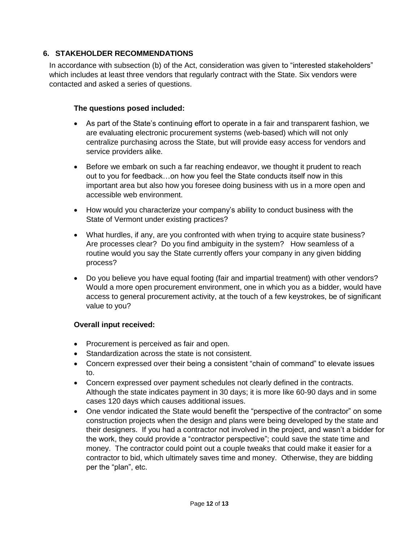#### <span id="page-11-0"></span>**6. STAKEHOLDER RECOMMENDATIONS**

In accordance with subsection (b) of the Act, consideration was given to "interested stakeholders" which includes at least three vendors that regularly contract with the State. Six vendors were contacted and asked a series of questions.

#### **The questions posed included:**

- As part of the State's continuing effort to operate in a fair and transparent fashion, we are evaluating electronic procurement systems (web-based) which will not only centralize purchasing across the State, but will provide easy access for vendors and service providers alike.
- Before we embark on such a far reaching endeavor, we thought it prudent to reach out to you for feedback…on how you feel the State conducts itself now in this important area but also how you foresee doing business with us in a more open and accessible web environment.
- How would you characterize your company's ability to conduct business with the State of Vermont under existing practices?
- What hurdles, if any, are you confronted with when trying to acquire state business? Are processes clear? Do you find ambiguity in the system? How seamless of a routine would you say the State currently offers your company in any given bidding process?
- Do you believe you have equal footing (fair and impartial treatment) with other vendors? Would a more open procurement environment, one in which you as a bidder, would have access to general procurement activity, at the touch of a few keystrokes, be of significant value to you?

#### **Overall input received:**

- Procurement is perceived as fair and open.
- Standardization across the state is not consistent.
- Concern expressed over their being a consistent "chain of command" to elevate issues to.
- Concern expressed over payment schedules not clearly defined in the contracts. Although the state indicates payment in 30 days; it is more like 60-90 days and in some cases 120 days which causes additional issues.
- One vendor indicated the State would benefit the "perspective of the contractor" on some construction projects when the design and plans were being developed by the state and their designers. If you had a contractor not involved in the project, and wasn't a bidder for the work, they could provide a "contractor perspective"; could save the state time and money. The contractor could point out a couple tweaks that could make it easier for a contractor to bid, which ultimately saves time and money. Otherwise, they are bidding per the "plan", etc.